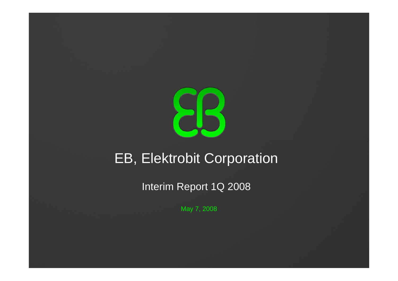

# EB, Elektrobit Corporation

Interim Report 1Q 2008

May 7, 2008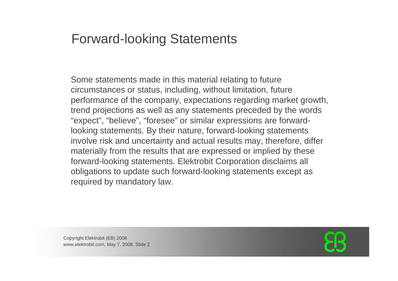#### Forward-looking Statements

Some statements made in this material relating to future circumstances or status, including, without limitation, future performance of the company, expectations regarding market growth, trend projections as well as any statements preceded by the words "expect", "believe", "foresee" or similar expressions are forwardlooking statements. By their nature, forward-looking statements involve risk and uncertainty and actual results may, therefore, differ materially from the results that are expressed or implied by these forward-looking statements. Elektrobit Corporation disclaims all obligations to update such forward-looking statements except as required by mandatory law.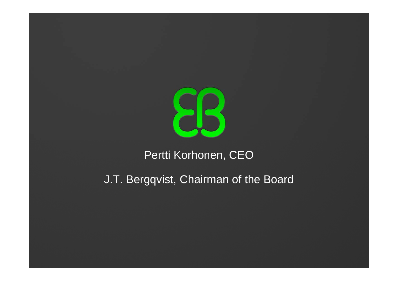

#### Pertti Korhonen, CEO

#### J.T. Bergqvist, Chairman of the Board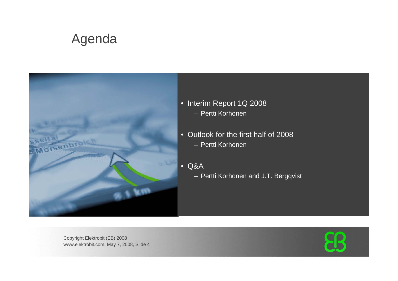## Agenda



- Interim Report 1Q 2008 – Pertti Korhonen
- Outlook for the first half of 2008 – Pertti Korhonen
- Q&A
	- Pertti Korhonen and J.T. Bergqvist

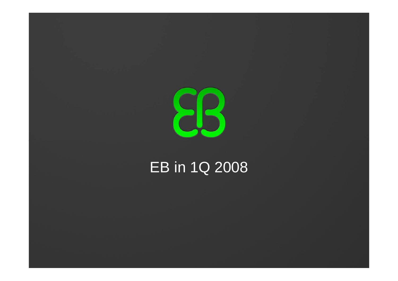

# EB in 1Q 2008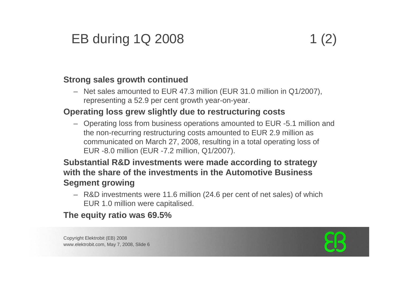# EB during 1Q 2008 1 (2)

#### **Strong sales growth continued**

– Net sales amounted to EUR 47.3 million (EUR 31.0 million in Q1/2007), representing a 52.9 per cent growth year-on-year.

#### **Operating loss grew slightly due to restructuring costs**

– Operating loss from business operations amounted to EUR -5.1 million and the non-recurring restructuring costs amounted to EUR 2.9 million as communicated on March 27, 2008, resulting in a total operating loss of EUR -8.0 million (EUR -7.2 million, Q1/2007).

#### **Substantial R&D investments were made according to strategy with the share of the investments in the Automotive Business Segment growing**

– R&D investments were 11.6 million (24.6 per cent of net sales) of which EUR 1.0 million were capitalised.

**The equity ratio was 69.5%** 

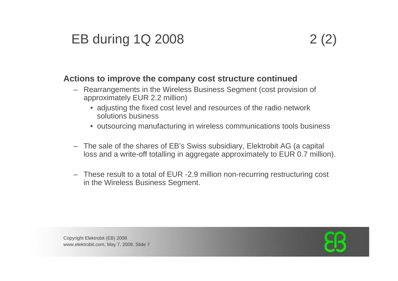# EB during 1Q 2008 2 (2)

#### **Actions to improve the company cost structure continued**

- Rearrangements in the Wireless Business Segment (cost provision of approximately EUR 2.2 million)
	- adjusting the fixed cost level and resources of the radio network solutions business
	- outsourcing manufacturing in wireless communications tools business
- The sale of the shares of EB's Swiss subsidiary, Elektrobit AG (a capital loss and a write-off totalling in aggregate approximately to EUR 0.7 million).
- These result to a total of EUR -2.9 million non-recurring restructuring cost in the Wireless Business Segment.

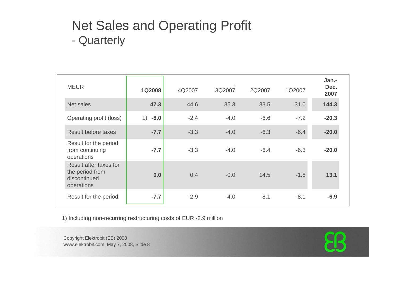#### Net Sales and Operating Profit -**Quarterly**

| <b>MEUR</b>                                                             | <b>1Q2008</b> | 4Q2007 | 3Q2007 | 2Q2007 | 1Q2007 | Jan.-<br>Dec.<br>2007 |
|-------------------------------------------------------------------------|---------------|--------|--------|--------|--------|-----------------------|
| Net sales                                                               | 47.3          | 44.6   | 35.3   | 33.5   | 31.0   | 144.3                 |
| Operating profit (loss)                                                 | 1)<br>$-8.0$  | $-2.4$ | $-4.0$ | $-6.6$ | $-7.2$ | $-20.3$               |
| <b>Result before taxes</b>                                              | $-7.7$        | $-3.3$ | $-4.0$ | $-6.3$ | $-6.4$ | $-20.0$               |
| Result for the period<br>from continuing<br>operations                  | $-7.7$        | $-3.3$ | $-4.0$ | $-6.4$ | $-6.3$ | $-20.0$               |
| Result after taxes for<br>the period from<br>discontinued<br>operations | 0.0           | 0.4    | $-0.0$ | 14.5   | $-1.8$ | 13.1                  |
| Result for the period                                                   | $-7.7$        | $-2.9$ | $-4.0$ | 8.1    | $-8.1$ | $-6.9$                |

1) Including non-recurring restructuring costs of EUR -2.9 million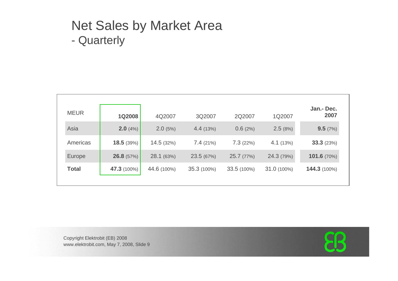#### Net Sales by Market Area  $\mathcal{L}_{\mathcal{A}}$ **Quarterly**

| <b>MEUR</b>  | <b>1Q2008</b>      | 4Q2007      | 3Q2007      | 2Q2007      | 1Q2007      | Jan.- Dec.<br>2007 |
|--------------|--------------------|-------------|-------------|-------------|-------------|--------------------|
| Asia         | 2.0(4%)            | 2.0(5%)     | 4.4(13%)    | 0.6(2%)     | 2.5(8%)     | 9.5(7%)            |
| Americas     | 18.5(39%)          | 14.5(32%)   | 7.4(21%)    | 7.3(22%)    | 4.1(13%)    | 33.3(23%)          |
| Europe       | 26.8(57%)          | 28.1 (63%)  | 23.5 (67%)  | 25.7 (77%)  | 24.3 (79%)  | 101.6(70%)         |
| <b>Total</b> | <b>47.3</b> (100%) | 44.6 (100%) | 35.3 (100%) | 33.5 (100%) | 31.0 (100%) | 144.3 (100%)       |
|              |                    |             |             |             |             |                    |

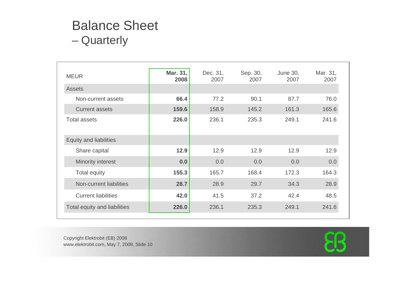#### Balance Sheet **Quarterly**

| <b>MEUR</b>                   | Mar. 31,<br>2008 | Dec. 31,<br>2007 | Sep. 30,<br>2007 | June 30,<br>2007 | Mar. 31,<br>2007 |
|-------------------------------|------------------|------------------|------------------|------------------|------------------|
| <b>Assets</b>                 |                  |                  |                  |                  |                  |
| Non-current assets            | 66.4             | 77.2             | 90.1             | 87.7             | 76.0             |
| <b>Current assets</b>         | 159.6            | 158.9            | 145.2            | 161.3            | 165.6            |
| <b>Total assets</b>           | 226.0            | 236.1            | 235.3            | 249.1            | 241.6            |
| <b>Equity and liabilities</b> |                  |                  |                  |                  |                  |
| Share capital                 | 12.9             | 12.9             | 12.9             | 12.9             | 12.9             |
| Minority interest             | 0.0              | 0.0              | 0.0              | 0.0              | 0.0              |
| <b>Total equity</b>           | 155.3            | 165.7            | 168.4            | 172.3            | 164.3            |
| Non-current liabilities       | 28.7             | 28.9             | 29.7             | 34.3             | 28.9             |
| <b>Current liabilities</b>    | 42.0             | 41.5             | 37.2             | 42.4             | 48.5             |
| Total equity and liabilities  | 226.0            | 236.1            | 235.3            | 249.1            | 241.6            |

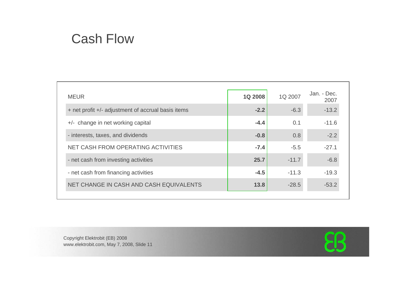#### Cash Flow

| <b>MEUR</b>                                        | <b>1Q 2008</b> | 1Q 2007 | Jan. - Dec.<br>2007 |
|----------------------------------------------------|----------------|---------|---------------------|
| + net profit +/- adjustment of accrual basis items | $-2.2$         | $-6.3$  | $-13.2$             |
| +/- change in net working capital                  | $-4.4$         | 0.1     | $-11.6$             |
| - interests, taxes, and dividends                  | $-0.8$         | 0.8     | $-2.2$              |
| NET CASH FROM OPERATING ACTIVITIES                 | $-7.4$         | $-5.5$  | $-27.1$             |
| - net cash from investing activities               | 25.7           | $-11.7$ | $-6.8$              |
| - net cash from financing activities               | $-4.5$         | $-11.3$ | $-19.3$             |
| NET CHANGE IN CASH AND CASH EQUIVALENTS            | 13.8           | $-28.5$ | $-53.2$             |
|                                                    |                |         |                     |

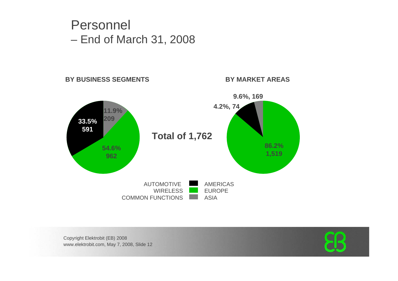#### Personnel End of March 31, 2008

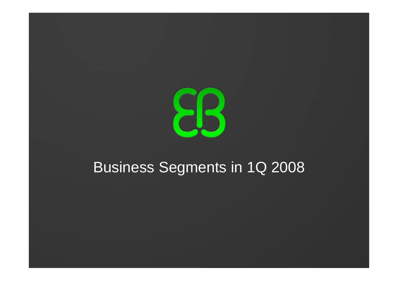

# Business Segments in 1Q 2008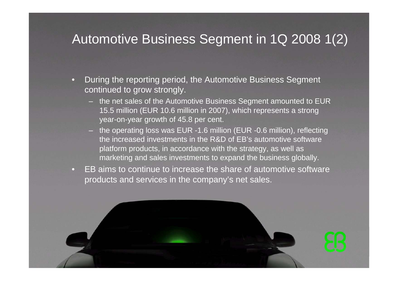#### Automotive Business Segment in 1Q 2008 1(2)

- • During the reporting period, the Automotive Business Segment continued to grow strongly.
	- the net sales of the Automotive Business Segment amounted to EUR 15.5 million (EUR 10.6 million in 2007), which represents a strong year-on-year growth of 45.8 per cent.
	- the operating loss was EUR -1.6 million (EUR -0.6 million), reflecting the increased investments in the R&D of EB's automotive software platform products, in accordance with the strategy, as well as marketing and sales investments to expand the business globally.
- • EB aims to continue to increase the share of automotive softwareproducts and services in the company's net sales.

Copyright Elektrobit (EB) 2008

ww.elektrobit.com, May 7, 2008, Slide 14, 2008, Slide 14, 2008, Slide 14, 2008, Slide 14, 2008, Slide 14, 2008,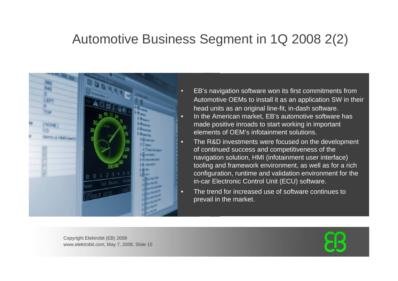#### Automotive Business Segment in 1Q 2008 2(2)



- EB's navigation software won its first commitments from Automotive OEMs to install it as an application SW in their head units as an original line-fit, in-dash software.
- In the American market, EB's automotive software has made positive inroads to start working in important elements of OEM's infotainment solutions.
- The R&D investments were focused on the development of continued success and competitiveness of the navigation solution, HMI (infotainment user interface) tooling and framework environment, as well as for a rich configuration, runtime and validation environment for the in-car Electronic Control Unit (ECU) software.
- The trend for increased use of software continues to prevail in the market.

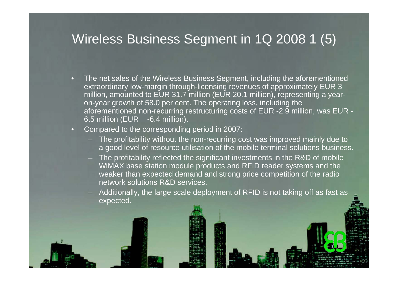#### Wireless Business Segment in 1Q 2008 1 (5)

- • The net sales of the Wireless Business Segment, including the aforementioned extraordinary low-margin through-licensing revenues of approximately EUR 3 million, amounted to EUR 31.7 million (EUR 20.1 million), representing a yearon-year growth of 58.0 per cent. The operating loss, including the aforementioned non-recurring restructuring costs of EUR -2.9 million, was EUR - 6.5 million (EUR -6.4 million).
- $\hspace{0.5pt} \rule{0pt}{0.5pt}$  Compared to the corresponding period in 2007:
	- The profitability without the non-recurring cost was improved mainly due to a good level of resource utilisation of the mobile terminal solutions business.
	- The profitability reflected the significant investments in the R&D of mobile WiMAX base station module products and RFID reader systems and the weaker than expected demand and strong price competition of the radio network solutions R&D services.
	- Additionally, the large scale deployment of RFID is not taking off as fast as expected.

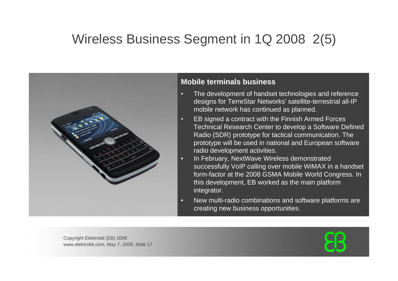## Wireless Business Segment in 1Q 2008 2(5)



#### **Mobile terminals business**

- $\Box$  The development of handset technologies and reference designs for TerreStar Networks' satellite-terrestrial all-IP mobile network has continued as planned.
- • EB signed a contract with the Finnish Armed Forces Technical Research Center to develop a Software Defined Radio (SDR) prototype for tactical communication. The prototype will be used in national and European software radio development activities.
- • In February, NextWave Wireless demonstrated successfully VoIP calling over mobile WiMAX in a handset form-factor at the 2008 GSMA Mobile World Congress. In this development, EB worked as the main platform integrator.
- • New multi-radio combinations and software platforms are creating new business opportunities.

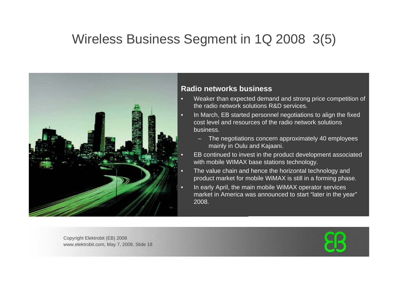### Wireless Business Segment in 1Q 2008 3(5)



#### **Radio networks business**

- Weaker than expected demand and strong price competition of the radio network solutions R&D services.
- In March, EB started personnel negotiations to align the fixed cost level and resources of the radio network solutions business.
	- The negotiations concern approximately 40 employees mainly in Oulu and Kajaani.
	- EB continued to invest in the product development associated with mobile WIMAX base stations technology.
- The value chain and hence the horizontal technology and product market for mobile WiMAX is still in a forming phase.
- In early April, the main mobile WiMAX operator services market in America was announced to start "later in the year" 2008.

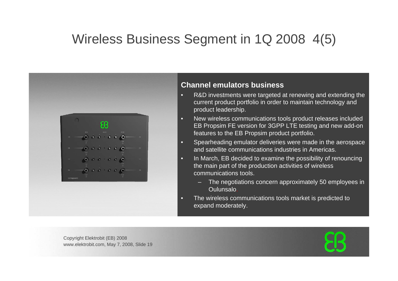### Wireless Business Segment in 1Q 2008 4(5)



#### **Channel emulators business**

- • R&D investments were targeted at renewing and extending the current product portfolio in order to maintain technology and product leadership.
- • New wireless communications tools product releases included EB Propsim FE version for 3GPP LTE testing and new add-on features to the EB Propsim product portfolio.
- $\Box$  Spearheading emulator deliveries were made in the aerospace and satellite communications industries in Americas.
- • In March, EB decided to examine the possibility of renouncing the main part of the production activities of wireless communications tools.
	- The negotiations concern approximately 50 employees in Oulunsalo.
- • The wireless communications tools market is predicted to expand moderately.

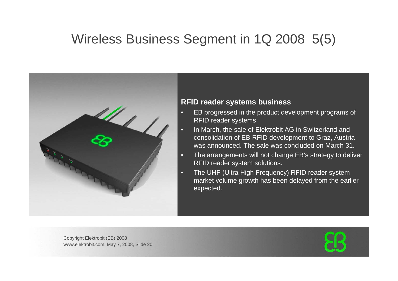### Wireless Business Segment in 1Q 2008 5(5)



#### **RFID reader systems business**

- • EB progressed in the product development programs of RFID reader systems
- •In March, the sale of Elektrobit AG in Switzerland and consolidation of EB RFID development to Graz, Austria was announced. The sale was concluded on March 31.
- • The arrangements will not change EB's strategy to deliver RFID reader system solutions.
- • The UHF (Ultra High Frequency) RFID reader system market volume growth has been delayed from the earlier expected.

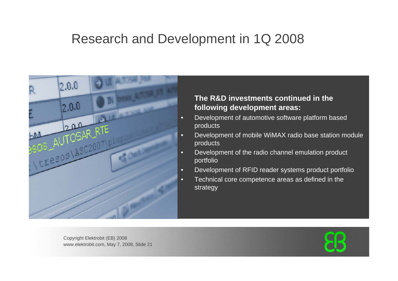#### Research and Development in 1Q 2008



#### **The R&D investments continued in the following development areas:**

- • Development of automotive software platform based products
- • Development of mobile WiMAX radio base station module products
- • Development of the radio channel emulation product portfolio
- •Development of RFID reader systems product portfolio
- • Technical core competence areas as defined in the strategy

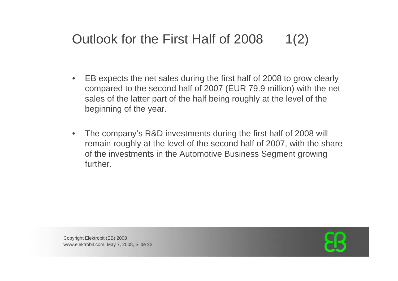# Outlook for the First Half of 2008 1(2)

- $\bullet$  EB expects the net sales during the first half of 2008 to grow clearly compared to the second half of 2007 (EUR 79.9 million) with the net sales of the latter part of the half being roughly at the level of the beginning of the year.
- $\bullet$  The company's R&D investments during the first half of 2008 will remain roughly at the level of the second half of 2007, with the share of the investments in the Automotive Business Segment growing further.

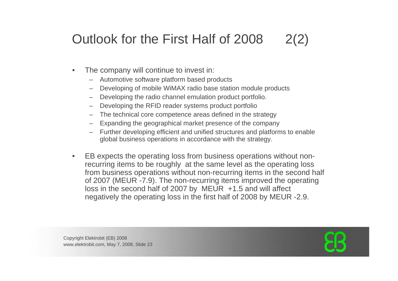# Outlook for the First Half of 2008 2(2)

- • The company will continue to invest in:
	- Automotive software platform based products
	- Developing of mobile WiMAX radio base station module products
	- Developing the radio channel emulation product portfolio.
	- Developing the RFID reader systems product portfolio
	- The technical core competence areas defined in the strategy
	- Expanding the geographical market presence of the company
	- Further developing efficient and unified structures and platforms to enable global business operations in accordance with the strategy.
- • EB expects the operating loss from business operations without nonrecurring items to be roughly at the same level as the operating loss from business operations without non-recurring items in the second half of 2007 (MEUR -7.9). The non-recurring items improved the operating loss in the second half of 2007 by MEUR +1.5 and will affect negatively the operating loss in the first half of 2008 by MEUR -2.9.

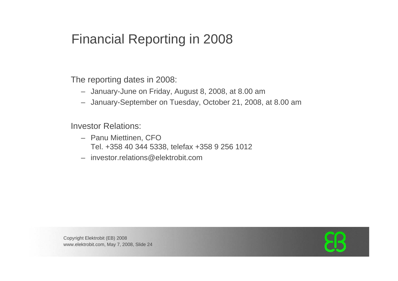### Financial Reporting in 2008

The reporting dates in 2008:

- January-June on Friday, August 8, 2008, at 8.00 am
- January-September on Tuesday, October 21, 2008, at 8.00 am

Investor Relations:

- Panu Miettinen, CFO Tel. +358 40 344 5338, telefax +358 9 256 1012
- investor.relations@elektrobit.com

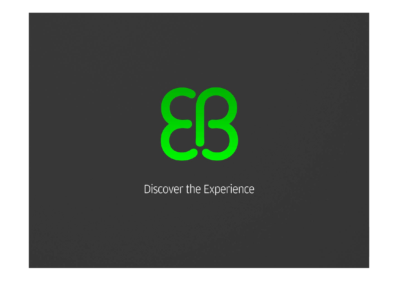

## Discover the Experience